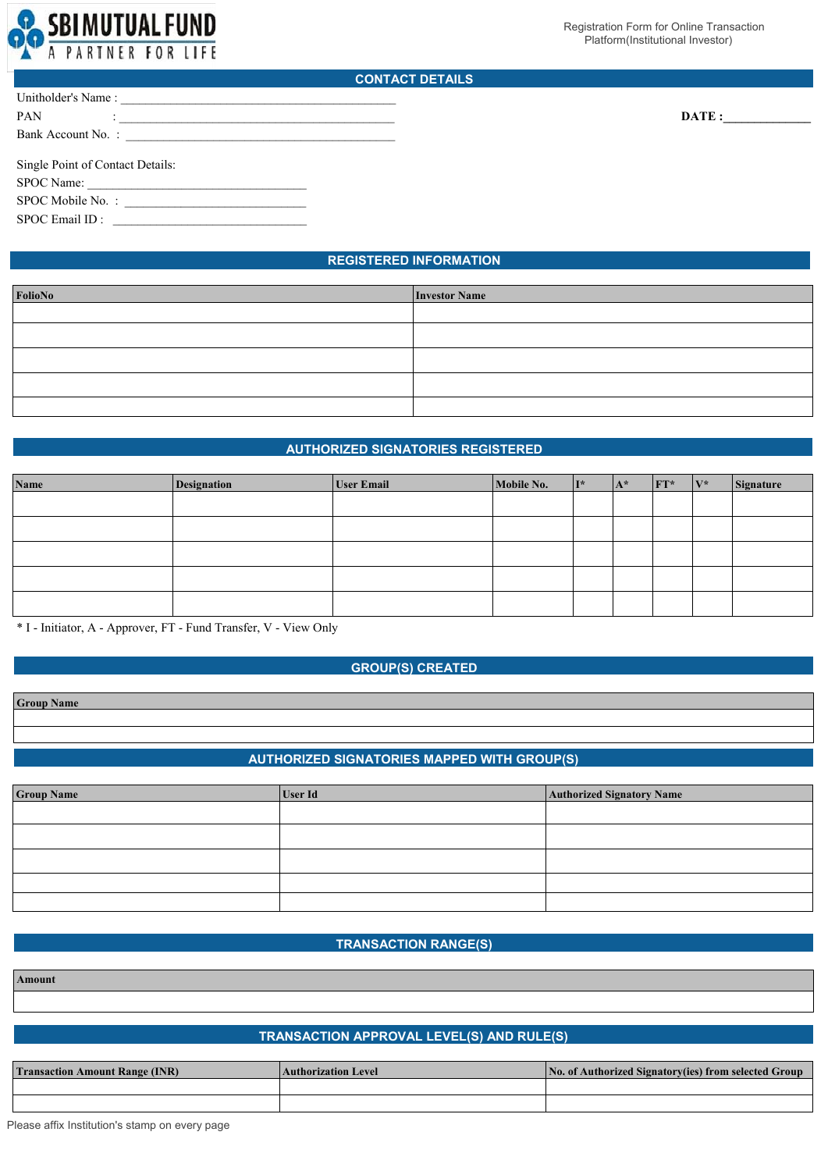

DATE :

# **CONTACT DETAILS**

| Unitholder's Name:               |  |  |  |  |  |
|----------------------------------|--|--|--|--|--|
| <b>PAN</b>                       |  |  |  |  |  |
| Bank Account No. :               |  |  |  |  |  |
|                                  |  |  |  |  |  |
| Single Point of Contact Details: |  |  |  |  |  |
|                                  |  |  |  |  |  |
| SPOC Name:                       |  |  |  |  |  |

SPOC Email ID :

# **REGISTERED INFORMATION**

| <b>Investor Name</b> |
|----------------------|
|                      |
|                      |
|                      |
|                      |
|                      |
|                      |

# **AUTHORIZED SIGNATORIES REGISTERED**

| Name | Designation | <b>User Email</b> | Mobile No. | $II^*$ | $\mathbf{A}^*$ | $FT^*$ | $V^*$ | Signature |
|------|-------------|-------------------|------------|--------|----------------|--------|-------|-----------|
|      |             |                   |            |        |                |        |       |           |
|      |             |                   |            |        |                |        |       |           |
|      |             |                   |            |        |                |        |       |           |
|      |             |                   |            |        |                |        |       |           |
|      |             |                   |            |        |                |        |       |           |

\* I - Initiator, A - Approver, FT - Fund Transfer, V - View Only

# **GROUP(S) CREATED**

**Group Name**

# **AUTHORIZED SIGNATORIES MAPPED WITH GROUP(S)**

| <b>Group Name</b> | User Id | <b>Authorized Signatory Name</b> |
|-------------------|---------|----------------------------------|
|                   |         |                                  |
|                   |         |                                  |
|                   |         |                                  |
|                   |         |                                  |
|                   |         |                                  |

# **TRANSACTION RANGE(S)**

**Amount**

# **TRANSACTION APPROVAL LEVEL(S) AND RULE(S)**

| <b>Transaction Amount Range (INR)</b> | <b>Authorization Level</b> | No. of Authorized Signatory(ies) from selected Group |  |  |  |
|---------------------------------------|----------------------------|------------------------------------------------------|--|--|--|
|                                       |                            |                                                      |  |  |  |
|                                       |                            |                                                      |  |  |  |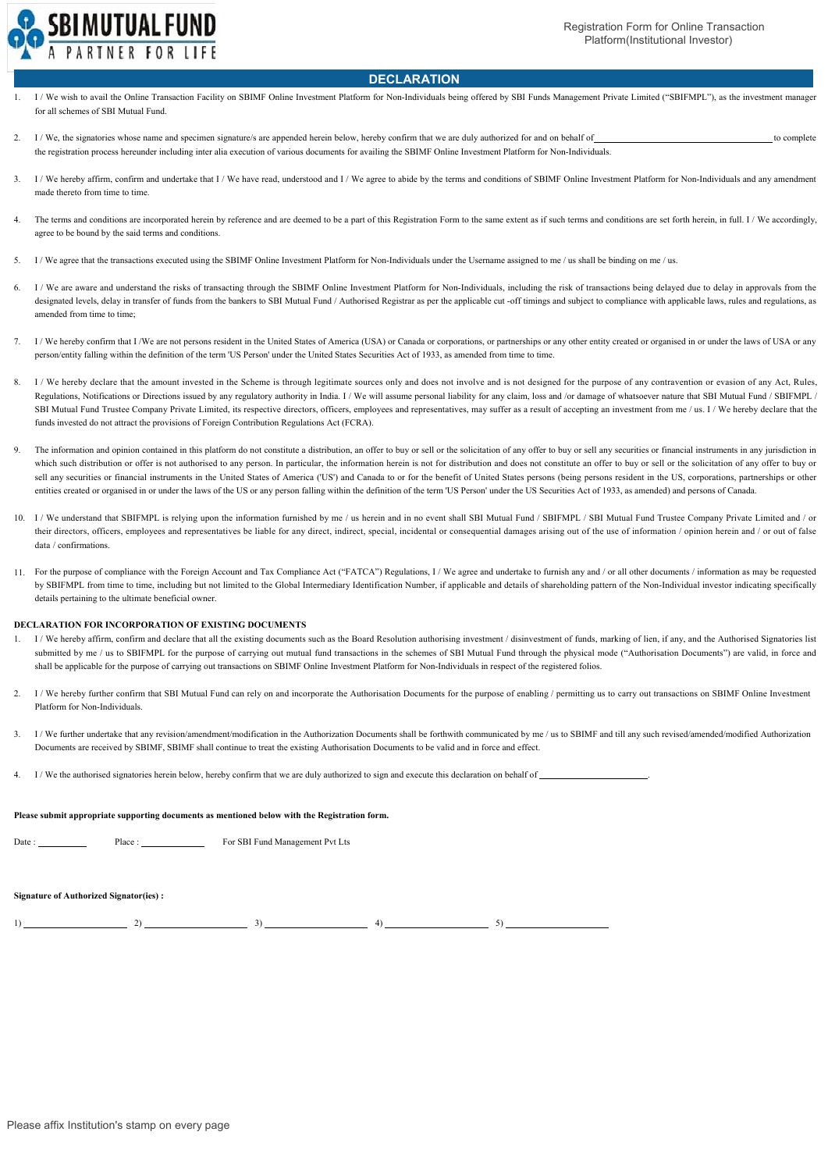

# **DECLARATION**

- 1. I/We wish to avail the Online Transaction Facility on SBIMF Online Investment Platform for Non-Individuals being offered by SBI Funds Management Private Limited ("SBIFMPL"), as the investment manager for all schemes of SBI Mutual Fund.
- $\mathcal{L}$ I/We, the signatories whose name and specimen signature/s are appended herein below, hereby confirm that we are duly authorized for and on behalf of the registration process hereunder including inter alia execution of various documents for availing the SBIMF Online Investment Platform for Non-Individuals.
- 3. I / We hereby affirm, confirm and undertake that I / We have read, understood and I / We agree to abide by the terms and conditions of SBIMF Online Investment Platform for Non-Individuals and any amendment made thereto from time to time.
- 4. The terms and conditions are incorporated herein by reference and are deemed to be a part of this Registration Form to the same extent as if such terms and conditions are set forth herein, in full. I / We accordingly, agree to be bound by the said terms and conditions.
- 5. I / We agree that the transactions executed using the SBIMF Online Investment Platform for Non-Individuals under the Username assigned to me / us shall be binding on me / us.
- 6. I/We are aware and understand the risks of transacting through the SBIMF Online Investment Platform for Non-Individuals, including the risk of transactions being delayed due to delay in approvals from the designated levels, delay in transfer of funds from the bankers to SBI Mutual Fund / Authorised Registrar as per the applicable cut -off timings and subject to compliance with applicable laws, rules and regulations, as amended from time to time;
- 7. I / We hereby confirm that I /We are not persons resident in the United States of America (USA) or Canada or corporations, or partnerships or any other entity created or organised in or under the laws of USA or any person/entity falling within the definition of the term 'US Person' under the United States Securities Act of 1933, as amended from time to time.
- 8. I / We hereby declare that the amount invested in the Scheme is through legitimate sources only and does not involve and is not designed for the purpose of any contravention or evasion of any Act, Rules, Regulations, Notifications or Directions issued by any regulatory authority in India. I / We will assume personal liability for any claim, loss and /or damage of whatsoever nature that SBI Mutual Fund / SBIFMPL / SBI Mutual Fund Trustee Company Private Limited, its respective directors, officers, employees and representatives, may suffer as a result of accepting an investment from me / us. I / We hereby declare that the funds invested do not attract the provisions of Foreign Contribution Regulations Act (FCRA).
- 9. The information and opinion contained in this platform do not constitute a distribution, an offer to buy or sell or the solicitation of any offer to buy or sell any securities or financial instruments in any jurisdiction i which such distribution or offer is not authorised to any person. In particular, the information herein is not for distribution and does not constitute an offer to buy or sell or the solicitation of any offer to buy or sell any securities or financial instruments in the United States of America ('US') and Canada to or for the benefit of United States persons (being persons resident in the US, corporations, partnerships or other entities created or organised in or under the laws of the US or any person falling within the definition of the term 'US Person' under the US Securities Act of 1933, as amended) and persons of Canada.
- 10. I / We understand that SBIFMPL is relying upon the information furnished by me / us herein and in no event shall SBI Mutual Fund / SBIFMPL / SBI Mutual Fund Trustee Company Private Limited and / or their directors, officers, employees and representatives be liable for any direct, indirect, special, incidental or consequential damages arising out of the use of information / opinion herein and / or out of false data / confirmations.
- 11. For the purpose of compliance with the Foreign Account and Tax Compliance Act ("FATCA") Regulations, I / We agree and undertake to furnish any and / or all other documents / information as may be requested by SBIFMPL from time to time, including but not limited to the Global Intermediary Identification Number, if applicable and details of shareholding pattern of the Non-Individual investor indicating specifically details pertaining to the ultimate beneficial owner.

### **DECLARATION FOR INCORPORATION OF EXISTING DOCUMENTS**

- 1/We hereby affirm, confirm and declare that all the existing documents such as the Board Resolution authorising investment / disinvestment of funds, marking of lien, if any, and the Authorised Signatories list submitted by me / us to SBIFMPL for the purpose of carrying out mutual fund transactions in the schemes of SBI Mutual Fund through the physical mode ("Authorisation Documents") are valid, in force and shall be applicable for the purpose of carrying out transactions on SBIMF Online Investment Platform for Non-Individuals in respect of the registered folios.
- 2. I / We hereby further confirm that SBI Mutual Fund can rely on and incorporate the Authorisation Documents for the purpose of enabling / permitting us to carry out transactions on SBIMF Online Investment Platform for Non-Individuals.
- 3. I / We further undertake that any revision/amendment/modification in the Authorization Documents shall be forthwith communicated by me / us to SBIMF and till any such revised/amended/modified Authorization Documents are received by SBIMF, SBIMF shall continue to treat the existing Authorisation Documents to be valid and in force and effect.
- 4. I / We the authorised signatories herein below, hereby confirm that we are duly authorized to sign and execute this declaration on behalf of .

### **Please submit appropriate supporting documents as mentioned below with the Registration form.**

Date : \_ Place : \_ For SBI Fund Management Pvt Lts

#### **Signature of Authorized Signator(ies) :**

 $1)$   $2)$   $3)$   $4)$   $5)$   $5)$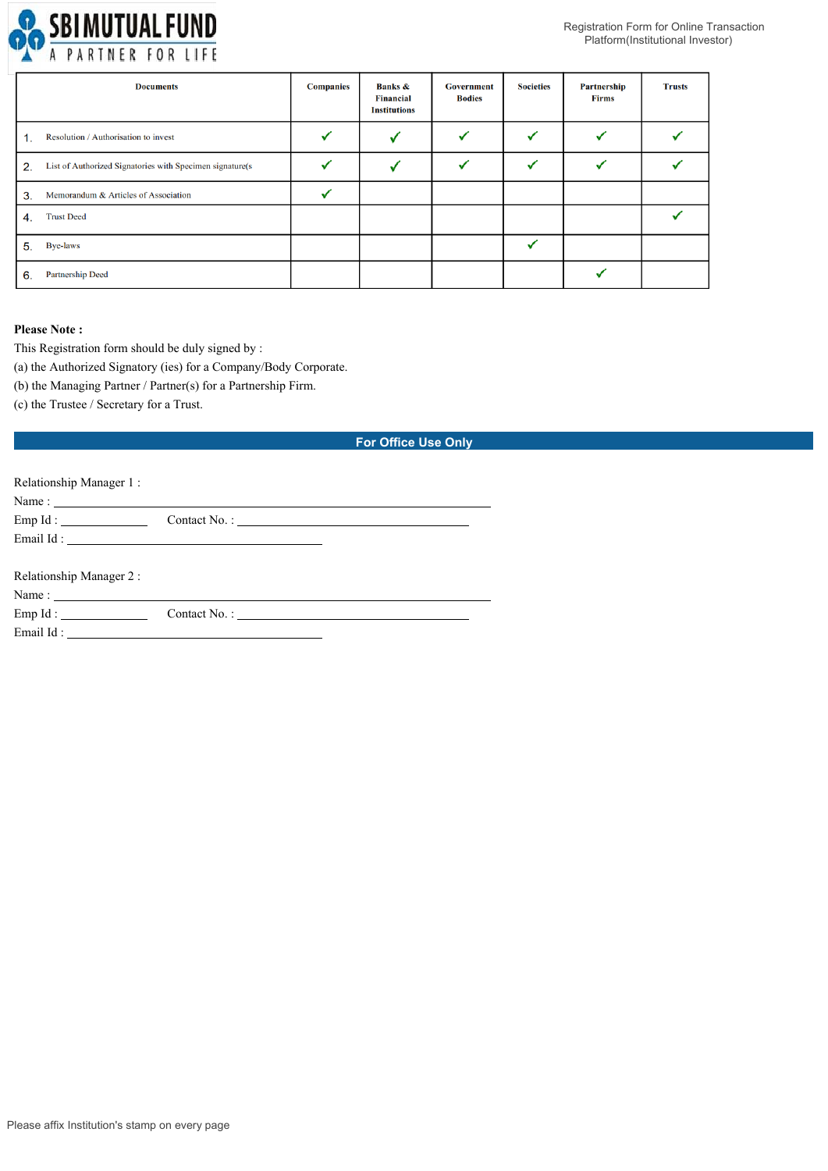

|    | <b>Documents</b>                                          | <b>Companies</b> | <b>Banks &amp;</b><br><b>Financial</b><br><b>Institutions</b> | <b>Government</b><br><b>Bodies</b> | <b>Societies</b> | Partnership<br>Firms | <b>Trusts</b> |
|----|-----------------------------------------------------------|------------------|---------------------------------------------------------------|------------------------------------|------------------|----------------------|---------------|
| 1. | Resolution / Authorisation to invest                      |                  |                                                               |                                    |                  |                      |               |
| 2. | List of Authorized Signatories with Specimen signature(s) |                  |                                                               |                                    |                  |                      |               |
| 3. | Memorandum & Articles of Association                      |                  |                                                               |                                    |                  |                      |               |
| 4. | <b>Trust Deed</b>                                         |                  |                                                               |                                    |                  |                      |               |
| 5. | <b>Bye-laws</b>                                           |                  |                                                               |                                    |                  |                      |               |
| 6. | <b>Partnership Deed</b>                                   |                  |                                                               |                                    |                  |                      |               |

# **Please Note :**

This Registration form should be duly signed by :

(a) the Authorized Signatory (ies) for a Company/Body Corporate.

(b) the Managing Partner / Partner(s) for a Partnership Firm.

(c) the Trustee / Secretary for a Trust.

# **For Office Use Only**

| Relationship Manager 1: |                                                                                                                                                                                                                                                                                                                                                                                                               |  |
|-------------------------|---------------------------------------------------------------------------------------------------------------------------------------------------------------------------------------------------------------------------------------------------------------------------------------------------------------------------------------------------------------------------------------------------------------|--|
|                         |                                                                                                                                                                                                                                                                                                                                                                                                               |  |
|                         |                                                                                                                                                                                                                                                                                                                                                                                                               |  |
|                         |                                                                                                                                                                                                                                                                                                                                                                                                               |  |
| Relationship Manager 2: |                                                                                                                                                                                                                                                                                                                                                                                                               |  |
|                         | Name: $\frac{1}{\sqrt{1-\frac{1}{2}}\sqrt{1-\frac{1}{2}}\sqrt{1-\frac{1}{2}}\sqrt{1-\frac{1}{2}}\sqrt{1-\frac{1}{2}}\sqrt{1-\frac{1}{2}}\sqrt{1-\frac{1}{2}}\sqrt{1-\frac{1}{2}}\sqrt{1-\frac{1}{2}}\sqrt{1-\frac{1}{2}}\sqrt{1-\frac{1}{2}}\sqrt{1-\frac{1}{2}}\sqrt{1-\frac{1}{2}}\sqrt{1-\frac{1}{2}}\sqrt{1-\frac{1}{2}}\sqrt{1-\frac{1}{2}}\sqrt{1-\frac{1}{2}}\sqrt{1-\frac{1}{2}}\sqrt{1-\frac{1}{2}}$ |  |
| Emp Id: $\qquad \qquad$ |                                                                                                                                                                                                                                                                                                                                                                                                               |  |
|                         |                                                                                                                                                                                                                                                                                                                                                                                                               |  |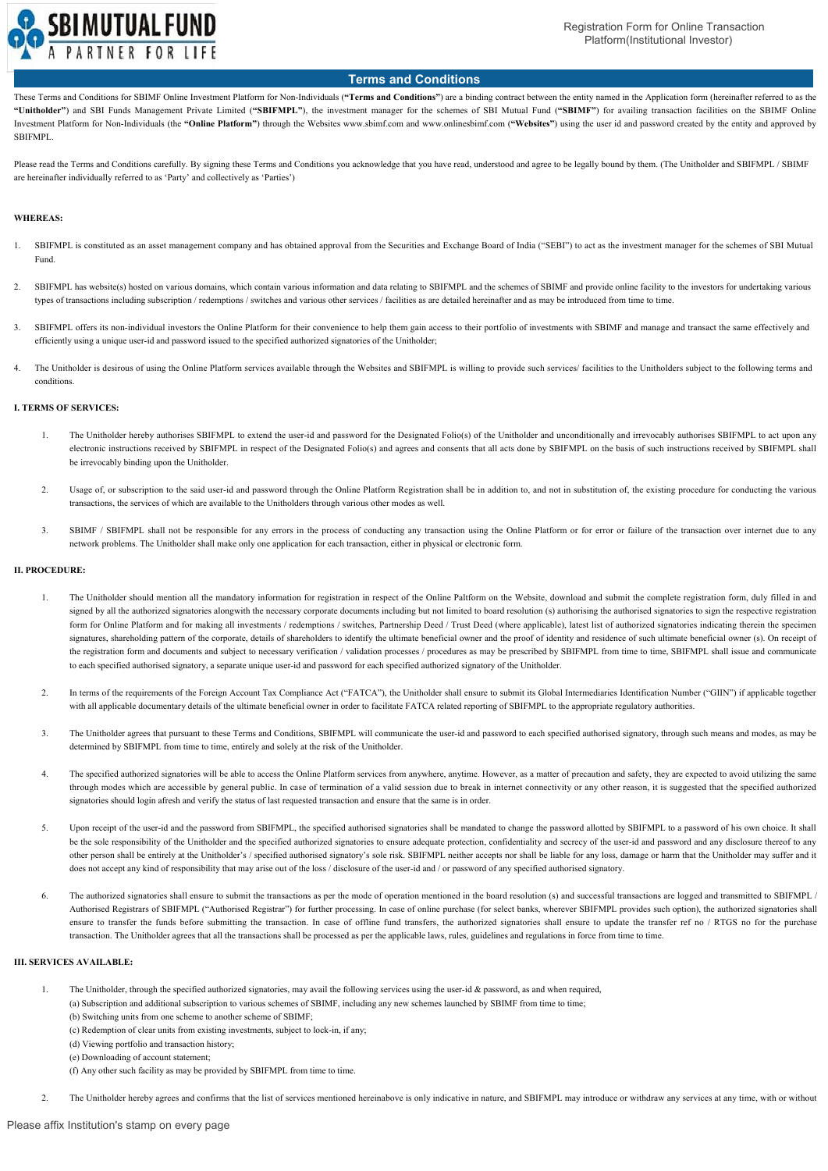

# **Terms and Conditions**

These Terms and Conditions for SBIMF Online Investment Platform for Non-Individuals (**"Terms and Conditions"**) are a binding contract between the entity named in the Application form (hereinafter referred to as the **"Unitholder"**) and SBI Funds Management Private Limited (**"SBIFMPL"**), the investment manager for the schemes of SBI Mutual Fund (**"SBIMF"**) for availing transaction facilities on the SBIMF Online Investment Platform for Non-Individuals (the **"Online Platform"**) through the Websites www.sbimf.com and www.onlinesbimf.com (**"Websites"**) using the user id and password created by the entity and approved by SBIFMPL.

Please read the Terms and Conditions carefully. By signing these Terms and Conditions you acknowledge that you have read, understood and agree to be legally bound by them. (The Unitholder and SBIFMPL / SBIMF are hereinafter individually referred to as 'Party' and collectively as 'Parties')

### **WHEREAS:**

- 1. SBIFMPL is constituted as an asset management company and has obtained approval from the Securities and Exchange Board of India ("SEBI") to act as the investment manager for the schemes of SBI Mutual Fund.
- 2. SBIFMPL has website(s) hosted on various domains, which contain various information and data relating to SBIFMPL and the schemes of SBIMF and provide online facility to the investors for undertaking various types of transactions including subscription / redemptions / switches and various other services / facilities as are detailed hereinafter and as may be introduced from time to time.
- 3. SBIFMPL offers its non-individual investors the Online Platform for their convenience to help them gain access to their portfolio of investments with SBIMF and manage and transact the same effectively and efficiently using a unique user-id and password issued to the specified authorized signatories of the Unitholder;
- 4. The Unitholder is desirous of using the Online Platform services available through the Websites and SBIFMPL is willing to provide such services/ facilities to the Unitholders subject to the following terms and conditions.

## **I. TERMS OF SERVICES:**

- 1. The Unitholder hereby authorises SBIFMPL to extend the user-id and password for the Designated Folio(s) of the Unitholder and unconditionally and irrevocably authorises SBIFMPL to act upon any electronic instructions received by SBIFMPL in respect of the Designated Folio(s) and agrees and consents that all acts done by SBIFMPL on the basis of such instructions received by SBIFMPL shall be irrevocably binding upon the Unitholder.
- 2. Usage of, or subscription to the said user-id and password through the Online Platform Registration shall be in addition to, and not in substitution of, the existing procedure for conducting the various transactions, the services of which are available to the Unitholders through various other modes as well.
- 3. SBIMF / SBIFMPL shall not be responsible for any errors in the process of conducting any transaction using the Online Platform or for error or failure of the transaction over internet due to any network problems. The Unitholder shall make only one application for each transaction, either in physical or electronic form.

## **II. PROCEDURE:**

- The Unitholder should mention all the mandatory information for registration in respect of the Online Paltform on the Website, download and submit the complete registration form, duly filled in and signed by all the authorized signatories alongwith the necessary corporate documents including but not limited to board resolution (s) authorising the authorised signatories to sign the respective registration form for Online Platform and for making all investments / redemptions / switches, Partnership Deed / Trust Deed (where applicable), latest list of authorized signatories indicating therein the specimen signatures, shareholding pattern of the corporate, details of shareholders to identify the ultimate beneficial owner and the proof of identity and residence of such ultimate beneficial owner (s). On receipt of the registration form and documents and subject to necessary verification / validation processes / procedures as may be prescribed by SBIFMPL from time to time, SBIFMPL shall issue and communicate to each specified authorised signatory, a separate unique user-id and password for each specified authorized signatory of the Unitholder.
- 2. In terms of the requirements of the Foreign Account Tax Compliance Act ("FATCA"), the Unitholder shall ensure to submit its Global Intermediaries Identification Number ("GIIN") if applicable together with all applicable documentary details of the ultimate beneficial owner in order to facilitate FATCA related reporting of SBIFMPL to the appropriate regulatory authorities.
- 3. The Unitholder agrees that pursuant to these Terms and Conditions, SBIFMPL will communicate the user-id and password to each specified authorised signatory, through such means and modes, as may be determined by SBIFMPL from time to time, entirely and solely at the risk of the Unitholder.
- 4. The specified authorized signatories will be able to access the Online Platform services from anywhere, anytime. However, as a matter of precaution and safety, they are expected to avoid utilizing the same through modes which are accessible by general public. In case of termination of a valid session due to break in internet connectivity or any other reason, it is suggested that the specified authorized signatories should login afresh and verify the status of last requested transaction and ensure that the same is in order.
- 5. Upon receipt of the user-id and the password from SBIFMPL, the specified authorised signatories shall be mandated to change the password allotted by SBIFMPL to a password of his own choice. It shall be the sole responsibility of the Unitholder and the specified authorized signatories to ensure adequate protection, confidentiality and secrecy of the user-id and password and any disclosure thereof to any other person shall be entirely at the Unitholder's / specified authorised signatory's sole risk. SBIFMPL neither accepts nor shall be liable for any loss, damage or harm that the Unitholder may suffer and it does not accept any kind of responsibility that may arise out of the loss / disclosure of the user-id and / or password of any specified authorised signatory.
- 6. The authorized signatories shall ensure to submit the transactions as per the mode of operation mentioned in the board resolution (s) and successful transactions are logged and transmitted to SBIFMPL / Authorised Registrars of SBIFMPL ("Authorised Registrar") for further processing. In case of online purchase (for select banks, wherever SBIFMPL provides such option), the authorized signatories shall ensure to transfer the funds before submitting the transaction. In case of offline fund transfers, the authorized signatories shall ensure to update the transfer ref no / RTGS no for the purchase transaction. The Unitholder agrees that all the transactions shall be processed as per the applicable laws, rules, guidelines and regulations in force from time to time.

# **III. SERVICES AVAILABLE:**

- 1. The Unitholder, through the specified authorized signatories, may avail the following services using the user-id & password, as and when required,
	- (a) Subscription and additional subscription to various schemes of SBIMF, including any new schemes launched by SBIMF from time to time;
	- (b) Switching units from one scheme to another scheme of SBIMF;
	- (c) Redemption of clear units from existing investments, subject to lock-in, if any;
	- (d) Viewing portfolio and transaction history;
	- (e) Downloading of account statement;
	- (f) Any other such facility as may be provided by SBIFMPL from time to time.
- 2. The Unitholder hereby agrees and confirms that the list of services mentioned hereinabove is only indicative in nature, and SBIFMPL may introduce or withdraw any services at any time, with or without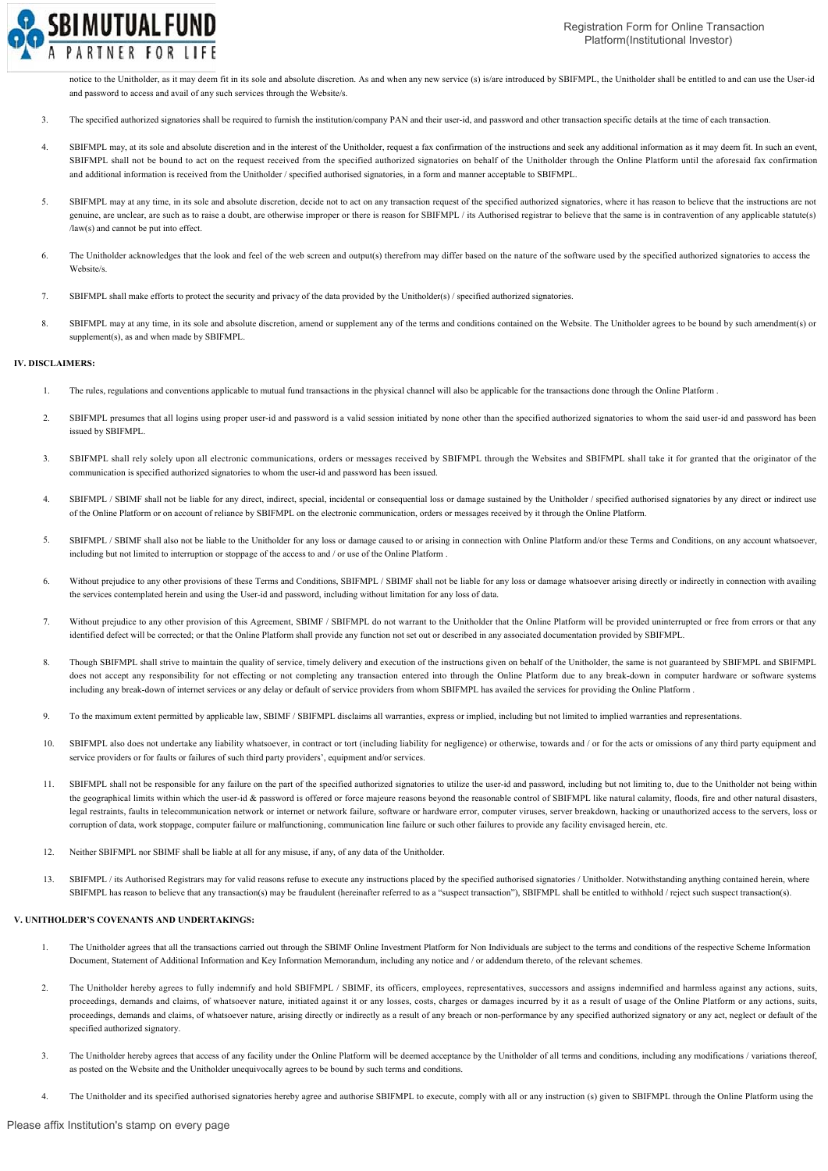

notice to the Unitholder, as it may deem fit in its sole and absolute discretion. As and when any new service (s) is/are introduced by SBIFMPL, the Unitholder shall be entitled to and can use the User-id and password to access and avail of any such services through the Website/s.

- 3. The specified authorized signatories shall be required to furnish the institution/company PAN and their user-id, and password and other transaction specific details at the time of each transaction.
- 4. SBIFMPL may, at its sole and absolute discretion and in the interest of the Unitholder, request a fax confirmation of the instructions and seek any additional information as it may deem fit. In such an event, SBIFMPL shall not be bound to act on the request received from the specified authorized signatories on behalf of the Unitholder through the Online Platform until the aforesaid fax confirmation and additional information is received from the Unitholder / specified authorised signatories, in a form and manner acceptable to SBIFMPL.
- 5. SBIFMPL may at any time, in its sole and absolute discretion, decide not to act on any transaction request of the specified authorized signatories, where it has reason to believe that the instructions are not genuine, are unclear, are such as to raise a doubt, are otherwise improper or there is reason for SBIFMPL / its Authorised registrar to believe that the same is in contravention of any applicable statute(s) /law(s) and cannot be put into effect.
- 6. The Unitholder acknowledges that the look and feel of the web screen and output(s) therefrom may differ based on the nature of the software used by the specified authorized signatories to access the Website/s.
- 7. SBIFMPL shall make efforts to protect the security and privacy of the data provided by the Unitholder(s) / specified authorized signatories.
- 8. SBIFMPL may at any time, in its sole and absolute discretion, amend or supplement any of the terms and conditions contained on the Website. The Unitholder agrees to be bound by such amendment(s) or supplement(s), as and when made by SBIFMPL.

### **IV. DISCLAIMERS:**

- 1. The rules, regulations and conventions applicable to mutual fund transactions in the physical channel will also be applicable for the transactions done through the Online Platform .
- 2. SBIFMPL presumes that all logins using proper user-id and password is a valid session initiated by none other than the specified authorized signatories to whom the said user-id and password has been issued by SBIFMPL.
- 3. SBIFMPL shall rely solely upon all electronic communications, orders or messages received by SBIFMPL through the Websites and SBIFMPL shall take it for granted that the originator of the communication is specified authorized signatories to whom the user-id and password has been issued.
- 4. SBIFMPL / SBIMF shall not be liable for any direct, indirect, special, incidental or consequential loss or damage sustained by the Unitholder / specified authorised signatories by any direct or indirect use of the Online Platform or on account of reliance by SBIFMPL on the electronic communication, orders or messages received by it through the Online Platform.
- 5. SBIFMPL / SBIMF shall also not be liable to the Unitholder for any loss or damage caused to or arising in connection with Online Platform and/or these Terms and Conditions, on any account whatsoever, including but not limited to interruption or stoppage of the access to and / or use of the Online Platform .
- 6. Without prejudice to any other provisions of these Terms and Conditions, SBIFMPL / SBIMF shall not be liable for any loss or damage whatsoever arising directly or indirectly in connection with availing the services contemplated herein and using the User-id and password, including without limitation for any loss of data.
- 7. Without prejudice to any other provision of this Agreement, SBIMF / SBIFMPL do not warrant to the Unitholder that the Online Platform will be provided uninterrupted or free from errors or that any identified defect will be corrected; or that the Online Platform shall provide any function not set out or described in any associated documentation provided by SBIFMPL.
- 8. Though SBIFMPL shall strive to maintain the quality of service, timely delivery and execution of the instructions given on behalf of the Unitholder, the same is not guaranteed by SBIFMPL and SBIFMPL does not accept any responsibility for not effecting or not completing any transaction entered into through the Online Platform due to any break-down in computer hardware or software systems including any break-down of internet services or any delay or default of service providers from whom SBIFMPL has availed the services for providing the Online Platform .
- 9. To the maximum extent permitted by applicable law, SBIMF / SBIFMPL disclaims all warranties, express or implied, including but not limited to implied warranties and representations.
- 10. SBIFMPL also does not undertake any liability whatsoever, in contract or tort (including liability for negligence) or otherwise, towards and / or for the acts or omissions of any third party equipment and service providers or for faults or failures of such third party providers', equipment and/or services.
- 11. SBIFMPL shall not be responsible for any failure on the part of the specified authorized signatories to utilize the user-id and password, including but not limiting to, due to the Unitholder not being within the geographical limits within which the user-id & password is offered or force majeure reasons beyond the reasonable control of SBIFMPL like natural calamity, floods, fire and other natural disasters. legal restraints, faults in telecommunication network or internet or network failure, software or hardware error, computer viruses, server breakdown, hacking or unauthorized access to the servers, loss or corruption of data, work stoppage, computer failure or malfunctioning, communication line failure or such other failures to provide any facility envisaged herein, etc.
- 12. Neither SBIFMPL nor SBIMF shall be liable at all for any misuse, if any, of any data of the Unitholder.
- 13. SBIFMPL / its Authorised Registrars may for valid reasons refuse to execute any instructions placed by the specified authorised signatories / Unitholder. Notwithstanding anything contained herein, where SBIFMPL has reason to believe that any transaction(s) may be fraudulent (hereinafter referred to as a "suspect transaction"), SBIFMPL shall be entitled to withhold / reject such suspect transaction(s).

### **V. UNITHOLDER'S COVENANTS AND UNDERTAKINGS:**

- 1. The Unitholder agrees that all the transactions carried out through the SBIMF Online Investment Platform for Non Individuals are subject to the terms and conditions of the respective Scheme Information Document, Statement of Additional Information and Key Information Memorandum, including any notice and / or addendum thereto, of the relevant schemes.
- 2. The Unitholder hereby agrees to fully indemnify and hold SBIFMPL / SBIMF, its officers, employees, representatives, successors and assigns indemnified and harmless against any actions, suits, proceedings, demands and claims, of whatsoever nature, initiated against it or any losses, costs, charges or damages incurred by it as a result of usage of the Online Platform or any actions, suits, proceedings, demands and claims, of whatsoever nature, arising directly or indirectly as a result of any breach or non-performance by any specified authorized signatory or any act, neglect or default of the specified authorized signatory.
- 3. The Unitholder hereby agrees that access of any facility under the Online Platform will be deemed acceptance by the Unitholder of all terms and conditions, including any modifications / variations thereof, as posted on the Website and the Unitholder unequivocally agrees to be bound by such terms and conditions.
- 4. The Unitholder and its specified authorised signatories hereby agree and authorise SBIFMPL to execute, comply with all or any instruction (s) given to SBIFMPL through the Online Platform using the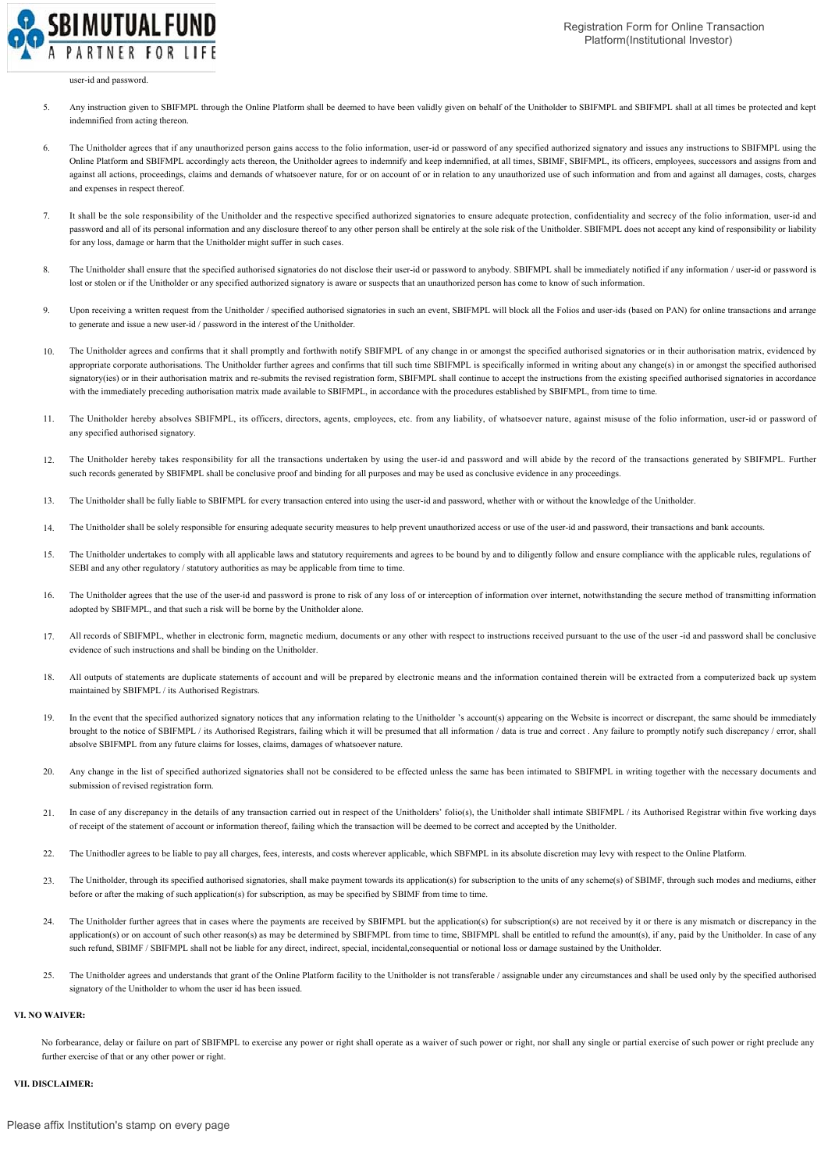

#### user-id and password.

- 5. Any instruction given to SBIFMPL through the Online Platform shall be deemed to have been validly given on behalf of the Unitholder to SBIFMPL and SBIFMPL shall at all times be protected and kept indemnified from acting thereon.
- 6. The Unitholder agrees that if any unauthorized person gains access to the folio information, user-id or password of any specified authorized signatory and issues any instructions to SBIFMPL using the Online Platform and SBIFMPL accordingly acts thereon, the Unitholder agrees to indemnify and keep indemnified, at all times, SBIMF, SBIFMPL, its officers, employees, successors and assigns from and against all actions, proceedings, claims and demands of whatsoever nature, for or on account of or in relation to any unauthorized use of such information and from and against all damages, costs, charges and expenses in respect thereof.
- 7. It shall be the sole responsibility of the Unitholder and the respective specified authorized signatories to ensure adequate protection, confidentiality and secrecy of the folio information, user-id and password and all of its personal information and any disclosure thereof to any other person shall be entirely at the sole risk of the Unitholder. SBIFMPL does not accept any kind of responsibility or liability for any loss, damage or harm that the Unitholder might suffer in such cases.
- 8. The Unitholder shall ensure that the specified authorised signatories do not disclose their user-id or password to anybody. SBIFMPL shall be immediately notified if any information / user-id or password is lost or stolen or if the Unitholder or any specified authorized signatory is aware or suspects that an unauthorized person has come to know of such information.
- 9. Upon receiving a written request from the Unitholder / specified authorised signatories in such an event, SBIFMPL will block all the Folios and user-ids (based on PAN) for online transactions and arrange to generate and issue a new user-id / password in the interest of the Unitholder.
- 10. The Unitholder agrees and confirms that it shall promptly and forthwith notify SBIFMPL of any change in or amongst the specified authorised signatories or in their authorisation matrix, evidenced by appropriate corporate authorisations. The Unitholder further agrees and confirms that till such time SBIFMPL is specifically informed in writing about any change(s) in or amongst the specified authorised signatory(ies) or in their authorisation matrix and re-submits the revised registration form, SBIFMPL shall continue to accept the instructions from the existing specified authorised signatories in accordance with the immediately preceding authorisation matrix made available to SBIFMPL, in accordance with the procedures established by SBIFMPL, from time to time.
- 11. The Unitholder hereby absolves SBIFMPL, its officers, directors, agents, employees, etc. from any liability, of whatsoever nature, against misuse of the folio information, user-id or password of any specified authorised signatory.
- 12. The Unitholder hereby takes responsibility for all the transactions undertaken by using the user-id and password and will abide by the record of the transactions generated by SBIFMPL. Further such records generated by SBIFMPL shall be conclusive proof and binding for all purposes and may be used as conclusive evidence in any proceedings.
- 13. The Unitholder shall be fully liable to SBIFMPL for every transaction entered into using the user-id and password, whether with or without the knowledge of the Unitholder.
- 14. The Unitholder shall be solely responsible for ensuring adequate security measures to help prevent unauthorized access or use of the user-id and password, their transactions and bank accounts.
- 15. The Unitholder undertakes to comply with all applicable laws and statutory requirements and agrees to be bound by and to diligently follow and ensure compliance with the applicable rules, regulations of SEBI and any other regulatory / statutory authorities as may be applicable from time to time.
- 16. The Unitholder agrees that the use of the user-id and password is prone to risk of any loss of or interception of information over internet, notwithstanding the secure method of transmitting information adopted by SBIFMPL, and that such a risk will be borne by the Unitholder alone.
- 17. All records of SBIFMPL, whether in electronic form, magnetic medium, documents or any other with respect to instructions received pursuant to the use of the user-id and password shall be conclusive evidence of such instructions and shall be binding on the Unitholder.
- 18. All outputs of statements are duplicate statements of account and will be prepared by electronic means and the information contained therein will be extracted from a computerized back up system maintained by SBIFMPL / its Authorised Registrars.
- 19. In the event that the specified authorized signatory notices that any information relating to the Unitholder 's account(s) appearing on the Website is incorrect or discrepant, the same should be immediately brought to the notice of SBIFMPL / its Authorised Registrars, failing which it will be presumed that all information / data is true and correct . Any failure to promptly notify such discrepancy / error, shall absolve SBIFMPL from any future claims for losses, claims, damages of whatsoever nature.
- 20. Any change in the list of specified authorized signatories shall not be considered to be effected unless the same has been intimated to SBIFMPL in writing together with the necessary documents and submission of revised registration form.
- 21. In case of any discrepancy in the details of any transaction carried out in respect of the Unitholders' folio(s), the Unitholder shall intimate SBIFMPL / its Authorised Registrar within five working days of receipt of the statement of account or information thereof, failing which the transaction will be deemed to be correct and accepted by the Unitholder.
- $22.2$ The Unithodler agrees to be liable to pay all charges, fees, interests, and costs wherever applicable, which SBFMPL in its absolute discretion may levy with respect to the Online Platform.
- 23. The Unitholder, through its specified authorised signatories, shall make payment towards its application(s) for subscription to the units of any scheme(s) of SBIMF, through such modes and mediums, either before or after the making of such application(s) for subscription, as may be specified by SBIMF from time to time.
- 24. The Unitholder further agrees that in cases where the payments are received by SBIFMPL but the application(s) for subscription(s) are not received by it or there is any mismatch or discrepancy in the application(s) or on account of such other reason(s) as may be determined by SBIFMPL from time to time, SBIFMPL shall be entitled to refund the amount(s), if any, paid by the Unitholder. In case of any such refund, SBIMF / SBIFMPL shall not be liable for any direct, indirect, special, incidental, consequential or notional loss or damage sustained by the Unitholder.
- 25. The Unitholder agrees and understands that grant of the Online Platform facility to the Unitholder is not transferable / assignable under any circumstances and shall be used only by the specified authorised signatory of the Unitholder to whom the user id has been issued.

## **VI. NO WAIVER:**

No forbearance, delay or failure on part of SBIFMPL to exercise any power or right shall operate as a waiver of such power or right, nor shall any single or partial exercise of such power or right preclude any further exercise of that or any other power or right.

#### **VII. DISCLAIMER:**